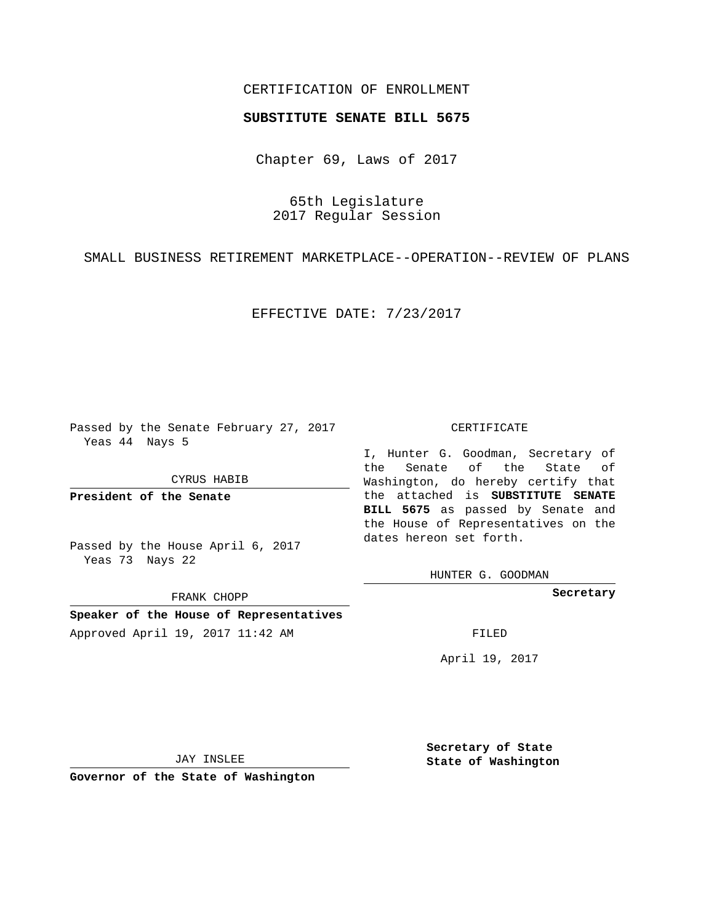## CERTIFICATION OF ENROLLMENT

## **SUBSTITUTE SENATE BILL 5675**

Chapter 69, Laws of 2017

65th Legislature 2017 Regular Session

SMALL BUSINESS RETIREMENT MARKETPLACE--OPERATION--REVIEW OF PLANS

EFFECTIVE DATE: 7/23/2017

Passed by the Senate February 27, 2017 Yeas 44 Nays 5

CYRUS HABIB

**President of the Senate**

Passed by the House April 6, 2017 Yeas 73 Nays 22

FRANK CHOPP

**Speaker of the House of Representatives** Approved April 19, 2017 11:42 AM FILED

## CERTIFICATE

I, Hunter G. Goodman, Secretary of the Senate of the State of Washington, do hereby certify that the attached is **SUBSTITUTE SENATE BILL 5675** as passed by Senate and the House of Representatives on the dates hereon set forth.

HUNTER G. GOODMAN

**Secretary**

April 19, 2017

JAY INSLEE

**Governor of the State of Washington**

**Secretary of State State of Washington**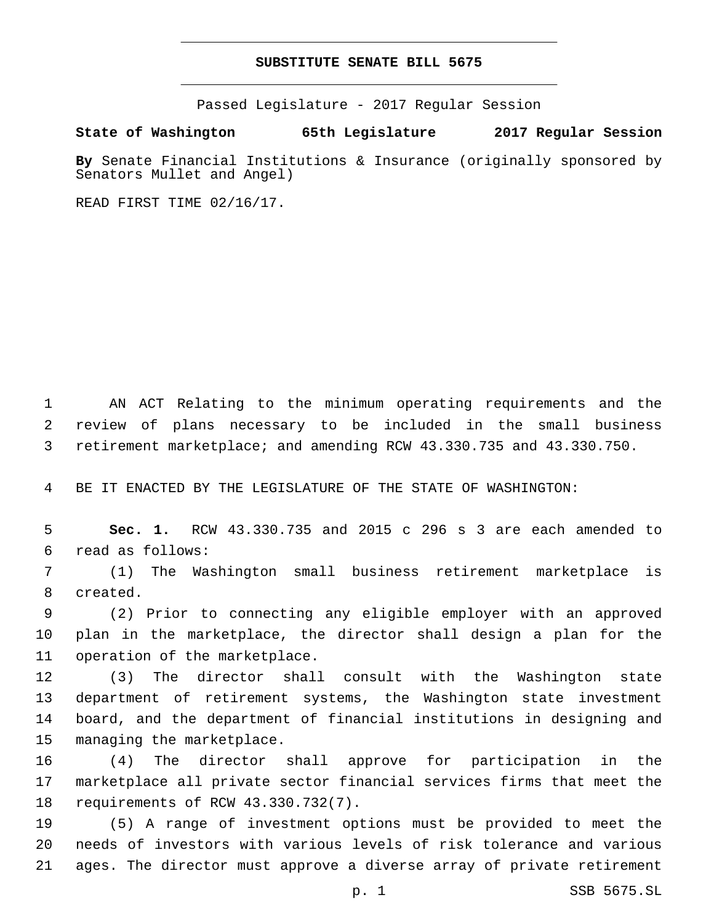## **SUBSTITUTE SENATE BILL 5675**

Passed Legislature - 2017 Regular Session

**State of Washington 65th Legislature 2017 Regular Session**

**By** Senate Financial Institutions & Insurance (originally sponsored by Senators Mullet and Angel)

READ FIRST TIME 02/16/17.

1 AN ACT Relating to the minimum operating requirements and the 2 review of plans necessary to be included in the small business 3 retirement marketplace; and amending RCW 43.330.735 and 43.330.750.

4 BE IT ENACTED BY THE LEGISLATURE OF THE STATE OF WASHINGTON:

5 **Sec. 1.** RCW 43.330.735 and 2015 c 296 s 3 are each amended to read as follows:6

7 (1) The Washington small business retirement marketplace is 8 created.

9 (2) Prior to connecting any eligible employer with an approved 10 plan in the marketplace, the director shall design a plan for the 11 operation of the marketplace.

 (3) The director shall consult with the Washington state department of retirement systems, the Washington state investment board, and the department of financial institutions in designing and 15 managing the marketplace.

16 (4) The director shall approve for participation in the 17 marketplace all private sector financial services firms that meet the 18 requirements of RCW 43.330.732(7).

19 (5) A range of investment options must be provided to meet the 20 needs of investors with various levels of risk tolerance and various 21 ages. The director must approve a diverse array of private retirement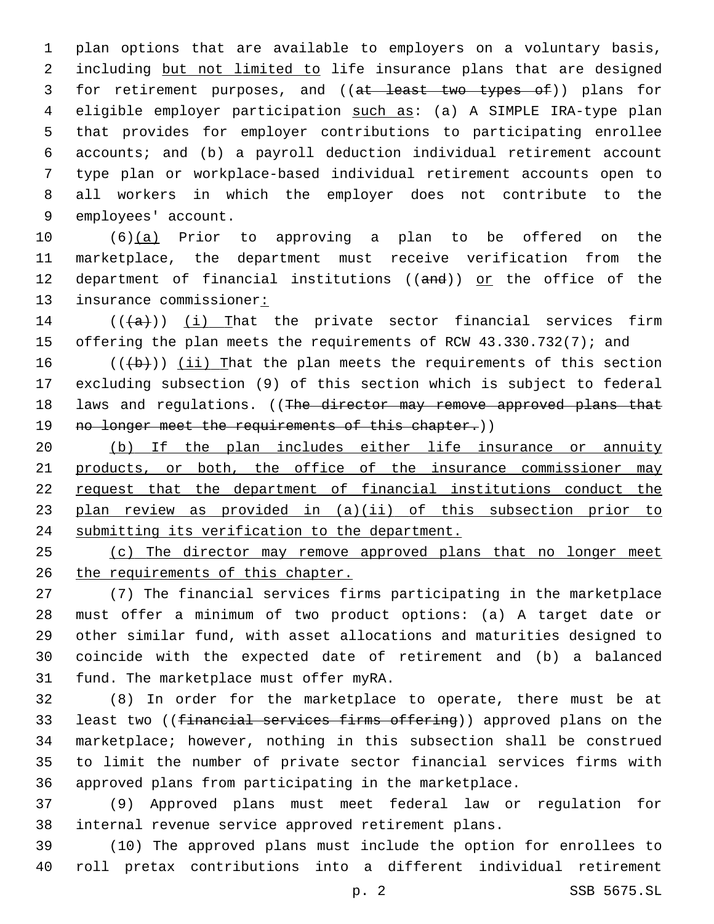plan options that are available to employers on a voluntary basis, 2 including but not limited to life insurance plans that are designed 3 for retirement purposes, and ((at least two types of)) plans for 4 eligible employer participation such as: (a) A SIMPLE IRA-type plan that provides for employer contributions to participating enrollee accounts; and (b) a payroll deduction individual retirement account type plan or workplace-based individual retirement accounts open to all workers in which the employer does not contribute to the 9 employees' account.

 (6)(a) Prior to approving a plan to be offered on the marketplace, the department must receive verification from the 12 department of financial institutions (( $and$ )) or the office of the 13 insurance commissioner:

14  $((+a))$   $(i)$  That the private sector financial services firm offering the plan meets the requirements of RCW 43.330.732(7); and

16  $((+b))$  (ii) That the plan meets the requirements of this section excluding subsection (9) of this section which is subject to federal 18 laws and regulations. ((The director may remove approved plans that 19 no longer meet the requirements of this chapter.))

 (b) If the plan includes either life insurance or annuity products, or both, the office of the insurance commissioner may request that the department of financial institutions conduct the 23 plan review as provided in (a)(ii) of this subsection prior to submitting its verification to the department.

 (c) The director may remove approved plans that no longer meet the requirements of this chapter.

 (7) The financial services firms participating in the marketplace must offer a minimum of two product options: (a) A target date or other similar fund, with asset allocations and maturities designed to coincide with the expected date of retirement and (b) a balanced 31 fund. The marketplace must offer myRA.

 (8) In order for the marketplace to operate, there must be at least two ((financial services firms offering)) approved plans on the marketplace; however, nothing in this subsection shall be construed to limit the number of private sector financial services firms with approved plans from participating in the marketplace.

 (9) Approved plans must meet federal law or regulation for internal revenue service approved retirement plans.

 (10) The approved plans must include the option for enrollees to roll pretax contributions into a different individual retirement